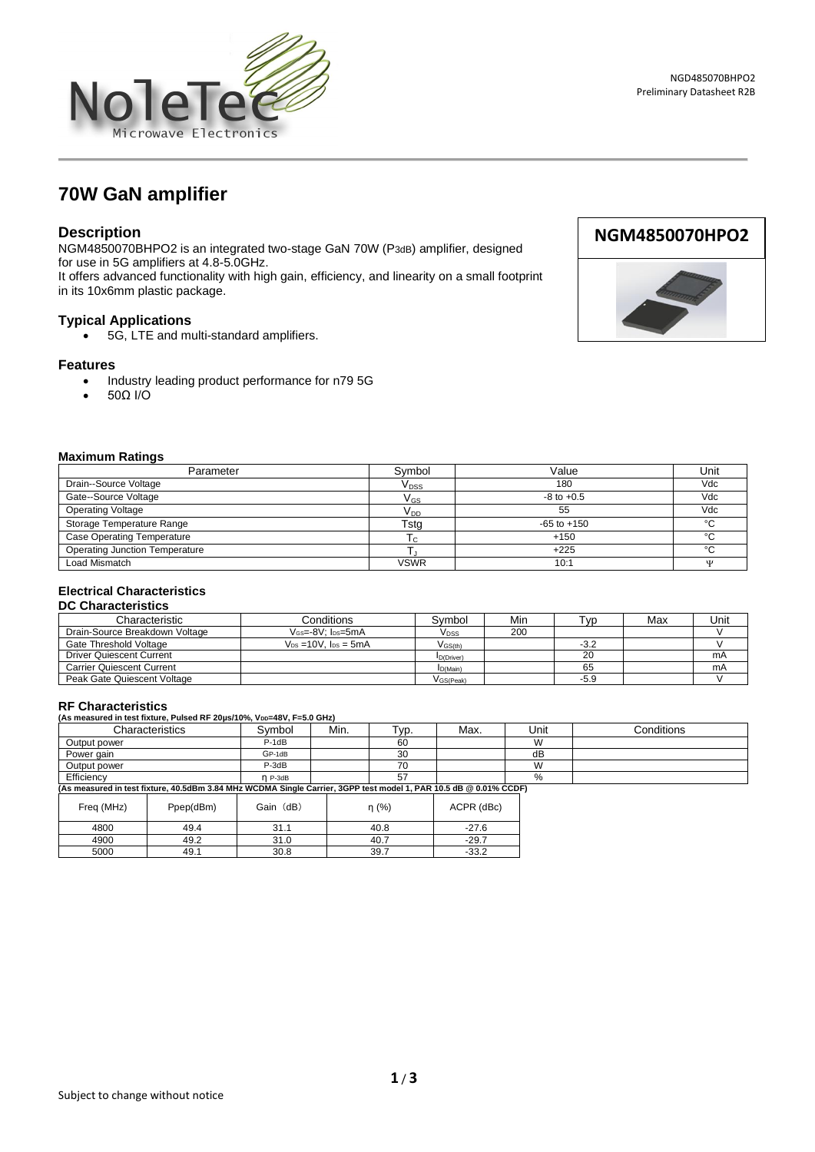

# **70W GaN amplifier**

### **Description**

NGM4850070BHPO2 is an integrated two-stage GaN 70W (P3dB) amplifier, designed for use in 5G amplifiers at 4.8-5.0GHz. It offers advanced functionality with high gain, efficiency, and linearity on a small footprint

in its 10x6mm plastic package.

#### **Typical Applications**

• 5G, LTE and multi-standard amplifiers.

#### **Features**

- Industry leading product performance for n79 5G
- 50Ω I/O



#### **Maximum Ratings**

| Parameter                             | Symbol                 | Value           | Unit    |
|---------------------------------------|------------------------|-----------------|---------|
| Drain--Source Voltage                 | <b>V<sub>DSS</sub></b> | 180             | Vdc     |
| Gate--Source Voltage                  | $V_{GS}$               | $-8$ to $+0.5$  | Vdc     |
| <b>Operating Voltage</b>              | V <sub>DD</sub>        | 55              | Vdc     |
| Storage Temperature Range             | Tsta                   | $-65$ to $+150$ | $\sim$  |
| <b>Case Operating Temperature</b>     | ι٢                     | $+150$          | $\circ$ |
| <b>Operating Junction Temperature</b> |                        | $+225$          | $\circ$ |
| Load Mismatch                         | <b>VSWR</b>            | 10:1            | ۱T      |

## **Electrical Characteristics**

#### **DC Characteristics**

| Characteristic                   | Conditions                   | Symbol                | Min | Tvp.   | Max | Unit |
|----------------------------------|------------------------------|-----------------------|-----|--------|-----|------|
| Drain-Source Breakdown Voltage   | $V$ Gs= $-8V$ : $los = 5mA$  | V <sub>DSS</sub>      | 200 |        |     |      |
| Gate Threshold Voltage           | $V_{DS} = 10V$ . $los = 5mA$ | $V$ <sub>GS(th)</sub> |     | $-3.2$ |     |      |
| <b>Driver Quiescent Current</b>  |                              | D(Driver)             |     | 20     |     | mA   |
| <b>Carrier Quiescent Current</b> |                              | I <sub>D</sub> (Main) |     | 65     |     | mA   |
| Peak Gate Quiescent Voltage      |                              | V <sub>GS(Peak)</sub> |     | $-5.9$ |     |      |

| <b>RF Characteristics</b>                                                                                         |         |           |      |                      |          |      |            |
|-------------------------------------------------------------------------------------------------------------------|---------|-----------|------|----------------------|----------|------|------------|
| (As measured in test fixture, Pulsed RF 20us/10%, VDD=48V, F=5.0 GHz)                                             |         |           |      |                      |          |      |            |
| Characteristics                                                                                                   |         | Svmbol    | Min. | Гур.                 | Max.     | Unit | Conditions |
| Output power                                                                                                      |         | $P-1dB$   |      | 60                   |          | W    |            |
| Power gain                                                                                                        |         | GP-1dB    |      | 30                   |          | dB   |            |
| Output power                                                                                                      |         | $P-3dB$   |      | 70                   |          | W    |            |
| Efficiency                                                                                                        |         | $n$ P-3dB |      | 57                   |          | %    |            |
| (As measured in test fixture, 40.5dBm 3.84 MHz WCDMA Single Carrier, 3GPP test model 1, PAR 10.5 dB @ 0.01% CCDF) |         |           |      |                      |          |      |            |
| .<br>$-$                                                                                                          | $    -$ | -----     |      | $\sim$ $\sim$ $\sim$ | $\cdots$ |      |            |

| Freq (MHz) | Ppep(dBm) | (dB)<br>Gain | n(%) | ACPR (dBc) |
|------------|-----------|--------------|------|------------|
| 4800       | 49.4      | 31.1         | 40.8 | $-27.6$    |
| 4900       | 49.2      | 31.0         | 40.7 | $-29.7$    |
| 5000       | 49.1      | 30.8         | 39.7 | $-33.2$    |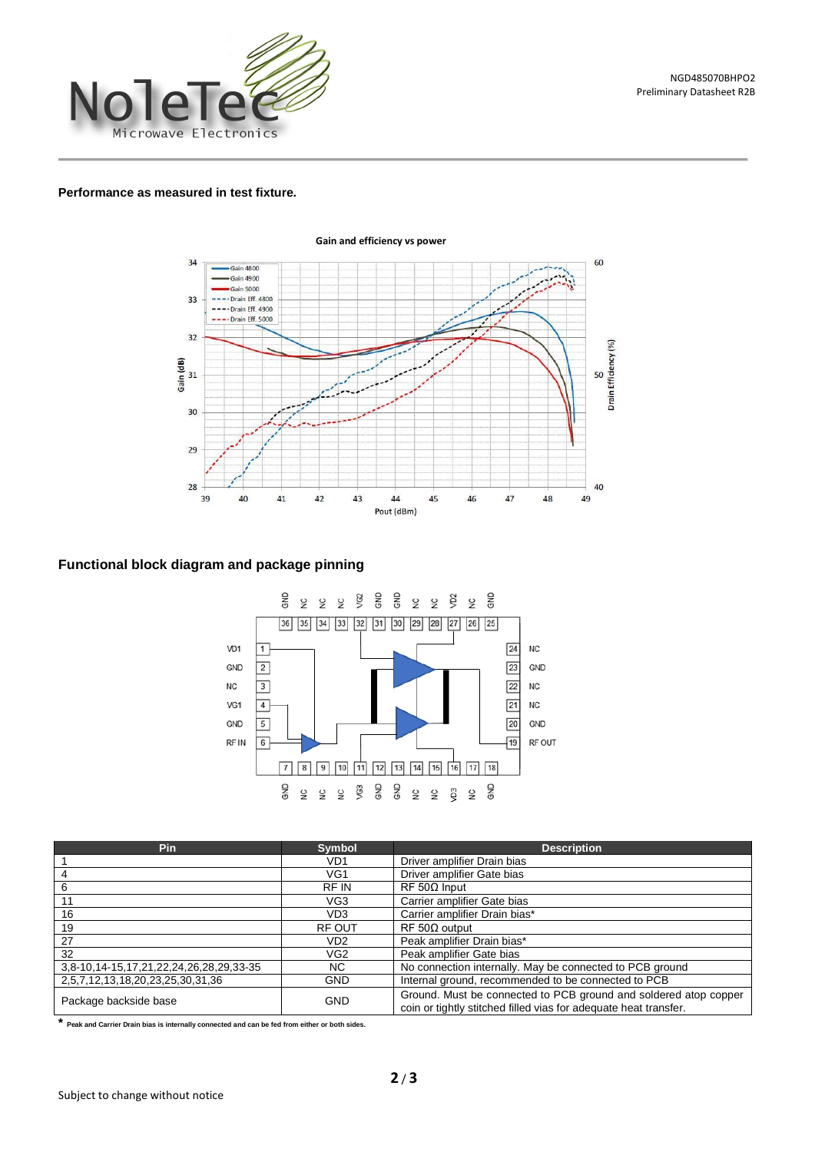

#### **Performance as measured in test fixture.**



#### **Functional block diagram and package pinning**



| Pin                                     | <b>Symbol</b>   | <b>Description</b>                                                                                                                   |  |  |
|-----------------------------------------|-----------------|--------------------------------------------------------------------------------------------------------------------------------------|--|--|
|                                         | VD1             | Driver amplifier Drain bias                                                                                                          |  |  |
| 4                                       | VG1             | Driver amplifier Gate bias                                                                                                           |  |  |
| 6                                       | <b>RFIN</b>     | $RF 50\Omega$ Input                                                                                                                  |  |  |
| 11                                      | VG3             | Carrier amplifier Gate bias                                                                                                          |  |  |
| 16                                      | VD <sub>3</sub> | Carrier amplifier Drain bias*                                                                                                        |  |  |
| 19                                      | <b>RF OUT</b>   | $RF 50\Omega$ output                                                                                                                 |  |  |
| 27                                      | VD <sub>2</sub> | Peak amplifier Drain bias*                                                                                                           |  |  |
| 32                                      | VG <sub>2</sub> | Peak amplifier Gate bias                                                                                                             |  |  |
| 3,8-10,14-15,17,21,22,24,26,28,29,33-35 | NC.             | No connection internally. May be connected to PCB ground                                                                             |  |  |
| 2,5,7,12,13,18,20,23,25,30,31,36        | <b>GND</b>      | Internal ground, recommended to be connected to PCB                                                                                  |  |  |
| Package backside base                   | <b>GND</b>      | Ground. Must be connected to PCB ground and soldered atop copper<br>coin or tightly stitched filled vias for adequate heat transfer. |  |  |

**\* Peak and Carrier Drain bias is internally connected and can be fed from either or both sides.**